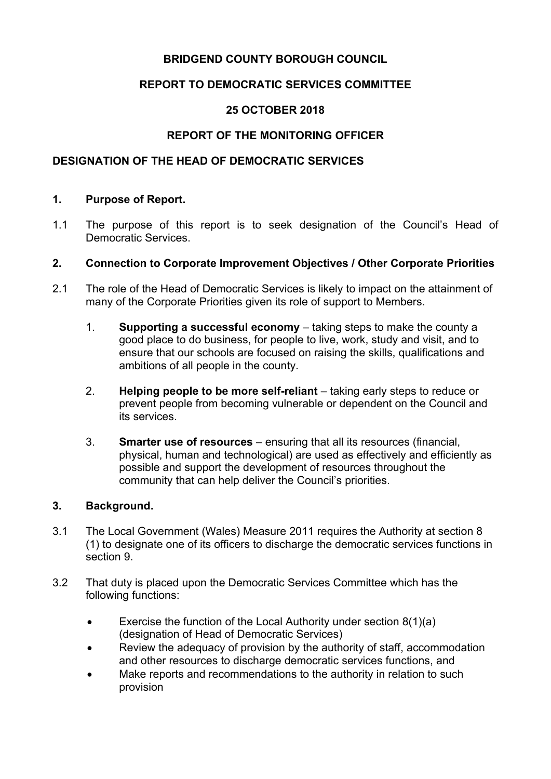# **BRIDGEND COUNTY BOROUGH COUNCIL**

# **REPORT TO DEMOCRATIC SERVICES COMMITTEE**

# **25 OCTOBER 2018**

# **REPORT OF THE MONITORING OFFICER**

## **DESIGNATION OF THE HEAD OF DEMOCRATIC SERVICES**

### **1. Purpose of Report.**

1.1 The purpose of this report is to seek designation of the Council's Head of Democratic Services.

### **2. Connection to Corporate Improvement Objectives / Other Corporate Priorities**

- 2.1 The role of the Head of Democratic Services is likely to impact on the attainment of many of the Corporate Priorities given its role of support to Members.
	- 1. **Supporting a successful economy** taking steps to make the county a good place to do business, for people to live, work, study and visit, and to ensure that our schools are focused on raising the skills, qualifications and ambitions of all people in the county.
	- 2. **Helping people to be more self-reliant** taking early steps to reduce or prevent people from becoming vulnerable or dependent on the Council and its services.
	- 3. **Smarter use of resources** ensuring that all its resources (financial, physical, human and technological) are used as effectively and efficiently as possible and support the development of resources throughout the community that can help deliver the Council's priorities.

### **3. Background.**

- 3.1 The Local Government (Wales) Measure 2011 requires the Authority at section 8 (1) to designate one of its officers to discharge the democratic services functions in section 9.
- 3.2 That duty is placed upon the Democratic Services Committee which has the following functions:
	- Exercise the function of the Local Authority under section  $8(1)(a)$ (designation of Head of Democratic Services)
	- Review the adequacy of provision by the authority of staff, accommodation and other resources to discharge democratic services functions, and
	- Make reports and recommendations to the authority in relation to such provision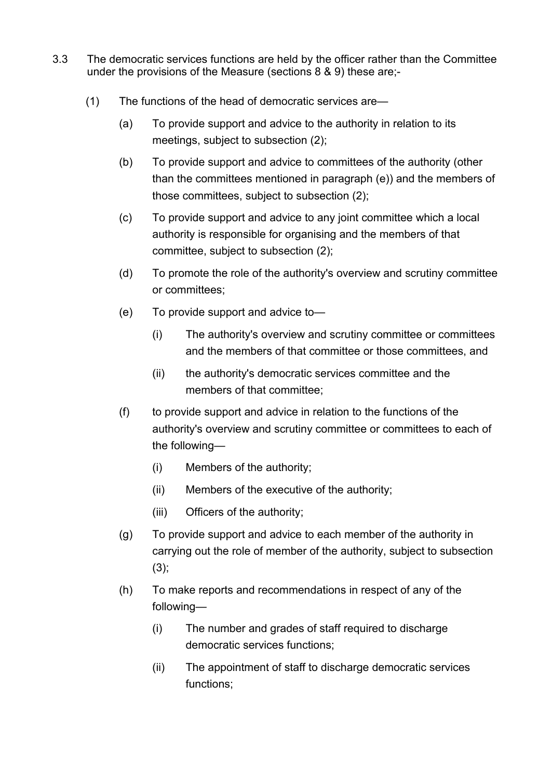- 3.3 The democratic services functions are held by the officer rather than the Committee under the provisions of the Measure (sections 8 & 9) these are;-
	- (1) The functions of the head of democratic services are—
		- (a) To provide support and advice to the authority in relation to its meetings, subject to subsection (2);
		- (b) To provide support and advice to committees of the authority (other than the committees mentioned in paragraph (e)) and the members of those committees, subject to subsection (2);
		- (c) To provide support and advice to any joint committee which a local authority is responsible for organising and the members of that committee, subject to subsection (2);
		- (d) To promote the role of the authority's overview and scrutiny committee or committees;
		- (e) To provide support and advice to—
			- (i) The authority's overview and scrutiny committee or committees and the members of that committee or those committees, and
			- (ii) the authority's democratic services committee and the members of that committee;
		- (f) to provide support and advice in relation to the functions of the authority's overview and scrutiny committee or committees to each of the following—
			- (i) Members of the authority;
			- (ii) Members of the executive of the authority;
			- (iii) Officers of the authority;
		- (g) To provide support and advice to each member of the authority in carrying out the role of member of the authority, subject to subsection (3);
		- (h) To make reports and recommendations in respect of any of the following—
			- (i) The number and grades of staff required to discharge democratic services functions;
			- (ii) The appointment of staff to discharge democratic services functions;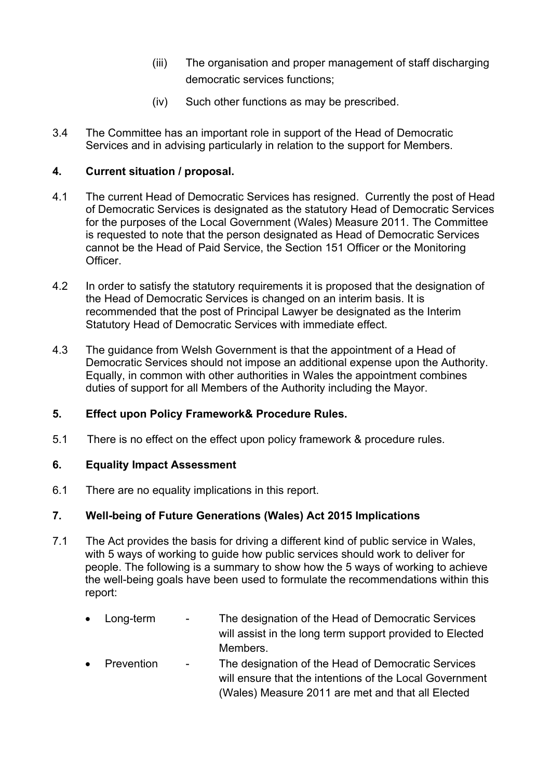- (iii) The organisation and proper management of staff discharging democratic services functions;
- (iv) Such other functions as may be prescribed.
- 3.4 The Committee has an important role in support of the Head of Democratic Services and in advising particularly in relation to the support for Members.

## **4. Current situation / proposal.**

- 4.1 The current Head of Democratic Services has resigned. Currently the post of Head of Democratic Services is designated as the statutory Head of Democratic Services for the purposes of the Local Government (Wales) Measure 2011. The Committee is requested to note that the person designated as Head of Democratic Services cannot be the Head of Paid Service, the Section 151 Officer or the Monitoring **Officer**
- 4.2 In order to satisfy the statutory requirements it is proposed that the designation of the Head of Democratic Services is changed on an interim basis. It is recommended that the post of Principal Lawyer be designated as the Interim Statutory Head of Democratic Services with immediate effect.
- 4.3 The guidance from Welsh Government is that the appointment of a Head of Democratic Services should not impose an additional expense upon the Authority. Equally, in common with other authorities in Wales the appointment combines duties of support for all Members of the Authority including the Mayor.

### **5. Effect upon Policy Framework& Procedure Rules.**

5.1 There is no effect on the effect upon policy framework & procedure rules.

### **6. Equality Impact Assessment**

6.1 There are no equality implications in this report.

## **7. Well-being of Future Generations (Wales) Act 2015 Implications**

- 7.1 The Act provides the basis for driving a different kind of public service in Wales, with 5 ways of working to guide how public services should work to deliver for people. The following is a summary to show how the 5 ways of working to achieve the well-being goals have been used to formulate the recommendations within this report:
	- Long-term The designation of the Head of Democratic Services will assist in the long term support provided to Elected Members.
	- Prevention The designation of the Head of Democratic Services will ensure that the intentions of the Local Government (Wales) Measure 2011 are met and that all Elected